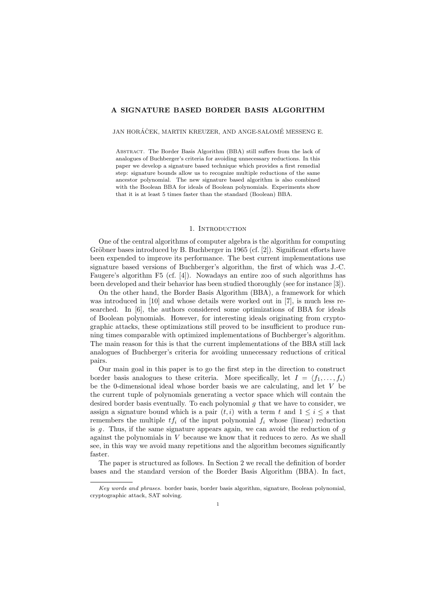# **A SIGNATURE BASED BORDER BASIS ALGORITHM**

### JAN HORÁČEK, MARTIN KREUZER, AND ANGE-SALOMÉ MESSENG E.

Abstract. The Border Basis Algorithm (BBA) still suffers from the lack of analogues of Buchberger's criteria for avoiding unnecessary reductions. In this paper we develop a signature based technique which provides a first remedial step: signature bounds allow us to recognize multiple reductions of the same ancestor polynomial. The new signature based algorithm is also combined with the Boolean BBA for ideals of Boolean polynomials. Experiments show that it is at least 5 times faster than the standard (Boolean) BBA.

## 1. INTRODUCTION

One of the central algorithms of computer algebra is the algorithm for computing Gröbner bases introduced by B. Buchberger in 1965 (cf.  $[2]$ ). Significant efforts have been expended to improve its performance. The best current implementations use signature based versions of Buchberger's algorithm, the first of which was J.-C. Faugere's algorithm F5 (cf. [4]). Nowadays an entire zoo of such algorithms has been developed and their behavior has been studied thoroughly (see for instance [3]).

On the other hand, the Border Basis Algorithm (BBA), a framework for which was introduced in [10] and whose details were worked out in [7], is much less researched. In [6], the authors considered some optimizations of BBA for ideals of Boolean polynomials. However, for interesting ideals originating from cryptographic attacks, these optimizations still proved to be insufficient to produce running times comparable with optimized implementations of Buchberger's algorithm. The main reason for this is that the current implementations of the BBA still lack analogues of Buchberger's criteria for avoiding unnecessary reductions of critical pairs.

Our main goal in this paper is to go the first step in the direction to construct border basis analogues to these criteria. More specifically, let  $I = \langle f_1, \ldots, f_s \rangle$ be the 0-dimensional ideal whose border basis we are calculating, and let *V* be the current tuple of polynomials generating a vector space which will contain the desired border basis eventually. To each polynomial *g* that we have to consider, we assign a signature bound which is a pair  $(t, i)$  with a term  $t$  and  $1 \leq i \leq s$  that remembers the multiple  $tf_i$  of the input polynomial  $f_i$  whose (linear) reduction is g. Thus, if the same signature appears again, we can avoid the reduction of g against the polynomials in *V* because we know that it reduces to zero. As we shall see, in this way we avoid many repetitions and the algorithm becomes significantly faster.

The paper is structured as follows. In Section 2 we recall the definition of border bases and the standard version of the Border Basis Algorithm (BBA). In fact,

*Key words and phrases.* border basis, border basis algorithm, signature, Boolean polynomial, cryptographic attack, SAT solving.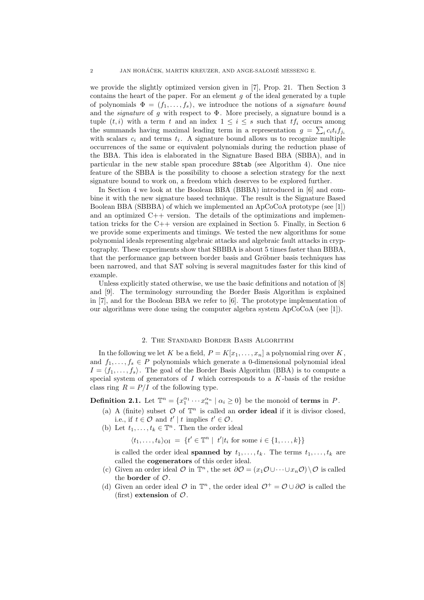we provide the slightly optimized version given in [7], Prop. 21. Then Section 3 contains the heart of the paper. For an element *g* of the ideal generated by a tuple of polynomials  $\Phi = (f_1, \ldots, f_s)$ , we introduce the notions of a *signature bound* and the *signature* of  $g$  with respect to  $\Phi$ . More precisely, a signature bound is a tuple  $(t, i)$  with a term  $t$  and an index  $1 \leq i \leq s$  such that  $tf_i$  occurs among the summands having maximal leading term in a representation  $g = \sum_i c_i t_i f_{j_i}$ with scalars  $c_i$  and terms  $t_i$ . A signature bound allows us to recognize multiple occurrences of the same or equivalent polynomials during the reduction phase of the BBA. This idea is elaborated in the Signature Based BBA (SBBA), and in particular in the new stable span procedure SStab (see Algorithm 4). One nice feature of the SBBA is the possibility to choose a selection strategy for the next signature bound to work on, a freedom which deserves to be explored further.

In Section 4 we look at the Boolean BBA (BBBA) introduced in [6] and combine it with the new signature based technique. The result is the Signature Based Boolean BBA (SBBBA) of which we implemented an ApCoCoA prototype (see [1]) and an optimized  $C++$  version. The details of the optimizations and implementation tricks for the  $C++$  version are explained in Section 5. Finally, in Section 6 we provide some experiments and timings. We tested the new algorithms for some polynomial ideals representing algebraic attacks and algebraic fault attacks in cryptography. These experiments show that SBBBA is about 5 times faster than BBBA, that the performance gap between border basis and Gröbner basis techniques has been narrowed, and that SAT solving is several magnitudes faster for this kind of example.

Unless explicitly stated otherwise, we use the basic definitions and notation of [8] and [9]. The terminology surrounding the Border Basis Algorithm is explained in [7], and for the Boolean BBA we refer to [6]. The prototype implementation of our algorithms were done using the computer algebra system ApCoCoA (see [1]).

# 2. The Standard Border Basis Algorithm

In the following we let *K* be a field,  $P = K[x_1, \ldots, x_n]$  a polynomial ring over *K*, and  $f_1, \ldots, f_s \in P$  polynomials which generate a 0-dimensional polynomial ideal  $I = \langle f_1, \ldots, f_s \rangle$ . The goal of the Border Basis Algorithm (BBA) is to compute a special system of generators of *I* which corresponds to a *K* -basis of the residue class ring  $R = P/I$  of the following type.

**Definition 2.1.** Let  $\mathbb{T}^n = \{x_1^{\alpha_1} \cdots x_n^{\alpha_n} \mid \alpha_i \geq 0\}$  be the monoid of **terms** in *P*.

- (a) A (finite) subset  $\mathcal O$  of  $\mathbb T^n$  is called an **order ideal** if it is divisor closed, i.e., if  $t \in \mathcal{O}$  and  $t' \mid t$  implies  $t' \in \mathcal{O}$ .
- (b) Let  $t_1, \ldots, t_k \in \mathbb{T}^n$ . Then the order ideal

$$
\langle t_1, \ldots, t_k \rangle_{\text{OI}} = \{ t' \in \mathbb{T}^n \mid t' | t_i \text{ for some } i \in \{1, \ldots, k \} \}
$$

is called the order ideal **spanned by**  $t_1, \ldots, t_k$ . The terms  $t_1, \ldots, t_k$  are called the **cogenerators** of this order ideal.

- (c) Given an order ideal  $\mathcal{O}$  in  $\mathbb{T}^n$ , the set  $\partial \mathcal{O} = (x_1 \mathcal{O} \cup \cdots \cup x_n \mathcal{O}) \setminus \mathcal{O}$  is called the **border** of *O*.
- (d) Given an order ideal  $\mathcal{O}$  in  $\mathbb{T}^n$ , the order ideal  $\mathcal{O}^+ = \mathcal{O} \cup \partial \mathcal{O}$  is called the (first) **extension** of *O*.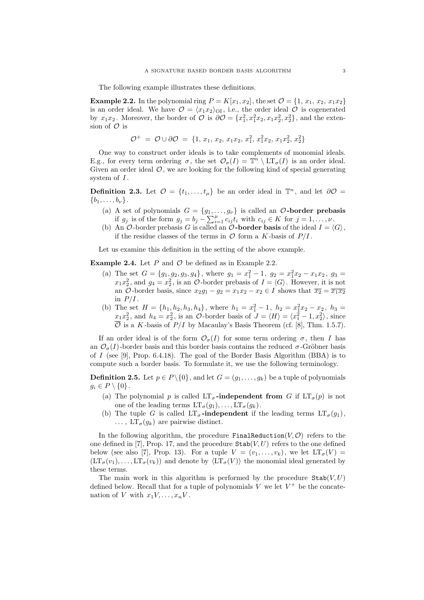The following example illustrates these definitions.

**Example 2.2.** In the polynomial ring  $P = K[x_1, x_2]$ , the set  $\mathcal{O} = \{1, x_1, x_2, x_1x_2\}$ is an order ideal. We have  $\mathcal{O} = \langle x_1 x_2 \rangle_{\text{O}I}$ , i.e., the order ideal  $\mathcal{O}$  is cogenerated by  $x_1x_2$ . Moreover, the border of  $\mathcal{O}$  is  $\partial\mathcal{O} = \{x_1^2, x_1^2x_2, x_1x_2^2, x_2^2\}$ , and the extension of *O* is

$$
\mathcal{O}^+ = \mathcal{O} \cup \partial \mathcal{O} = \{1, x_1, x_2, x_1x_2, x_1^2, x_1^2x_2, x_1x_2^2, x_2^2\}
$$

One way to construct order ideals is to take complements of monomial ideals. E.g., for every term ordering  $\sigma$ , the set  $\mathcal{O}_{\sigma}(I) = \mathbb{T}^n \setminus \mathrm{LT}_{\sigma}(I)$  is an order ideal. Given an order ideal  $\mathcal{O}$ , we are looking for the following kind of special generating system of *I* .

**Definition 2.3.** Let  $\mathcal{O} = \{t_1, \ldots, t_\mu\}$  be an order ideal in  $\mathbb{T}^n$ , and let  $\partial \mathcal{O} =$  $\{b_1, \ldots, b_{\nu}\}.$ 

- (a) A set of polynomials  $G = \{g_1, \ldots, g_\nu\}$  is called an *O***-border prebasis** if  $g_j$  is of the form  $g_j = b_j - \sum_{i=1}^{\mu} c_{ij} t_i$  with  $c_{ij} \in K$  for  $j = 1, \ldots, \nu$ .
- (b) An  $\mathcal{O}\text{-border$  prebasis *G* is called an  $\mathcal{O}\text{-border}$  basis of the ideal  $I = \langle G \rangle$ , if the residue classes of the terms in  $\mathcal O$  form a *K*-basis of  $P/I$ .

Let us examine this definition in the setting of the above example.

**Example 2.4.** Let  $P$  and  $O$  be defined as in Example 2.2.

- (a) The set  $G = \{g_1, g_2, g_3, g_4\}$ , where  $g_1 = x_1^2 1$ ,  $g_2 = x_1^2 x_2 x_1 x_2$ ,  $g_3 =$  $x_1x_2^2$ , and  $g_4 = x_2^2$ , is an *O*-border prebasis of  $I = \langle G \rangle$ . However, it is not an *O*-border basis, since  $x_2g_1 - g_2 = x_1x_2 - x_2 \in I$  shows that  $\overline{x_2} = \overline{x_1x_2}$ in  $P/I$ .
- (b) The set  $H = \{h_1, h_2, h_3, h_4\}$ , where  $h_1 = x_1^2 1$ ,  $h_2 = x_1^2 x_2 x_2$ ,  $h_3 =$  $x_1x_2^2$ , and  $h_4 = x_2^2$ , is an *O*-border basis of  $J = \langle H \rangle = \langle x_1^2 - 1, x_2^2 \rangle$ , since  $\overline{\mathcal{O}}$  is a *K*-basis of *P*/*I* by Macaulay's Basis Theorem (cf. [8], Thm. 1.5.7).

If an order ideal is of the form  $\mathcal{O}_{\sigma}(I)$  for some term ordering  $\sigma$ , then *I* has an  $\mathcal{O}_{\sigma}(I)$ -border basis and this border basis contains the reduced  $\sigma$ -Gröbner basis of *I* (see [9], Prop. 6.4.18). The goal of the Border Basis Algorithm (BBA) is to compute such a border basis. To formulate it, we use the following terminology.

**Definition 2.5.** Let  $p \in P \setminus \{0\}$ , and let  $G = (g_1, \ldots, g_k)$  be a tuple of polynomials  $g_i \in P \setminus \{0\}.$ 

- (a) The polynomial *p* is called  $LT_{\sigma}$ -independent from *G* if  $LT_{\sigma}(p)$  is not one of the leading terms  $LT_{\sigma}(g_1), \ldots, LT_{\sigma}(g_k)$ .
- (b) The tuple *G* is called  $LT_{\sigma}$ -independent if the leading terms  $LT_{\sigma}(g_1)$ ,  $\ldots$ ,  $LT_{\sigma}(q_k)$  are pairwise distinct.

In the following algorithm, the procedure FinalReduction $(V, \mathcal{O})$  refers to the one defined in [7], Prop. 17, and the procedure  $\texttt{Stab}(V, U)$  refers to the one defined below (see also [7], Prop. 13). For a tuple  $V = (v_1, \ldots, v_k)$ , we let  $LT_{\sigma}(V)$  $(\mathrm{LT}_{\sigma}(v_1), \ldots, \mathrm{LT}_{\sigma}(v_k))$  and denote by  $\langle \mathrm{LT}_{\sigma}(V) \rangle$  the monomial ideal generated by these terms.

The main work in this algorithm is performed by the procedure  $\text{Stab}(V, U)$ defined below. Recall that for a tuple of polynomials  $V$  we let  $V^+$  be the concatenation of *V* with  $x_1V, \ldots, x_nV$ .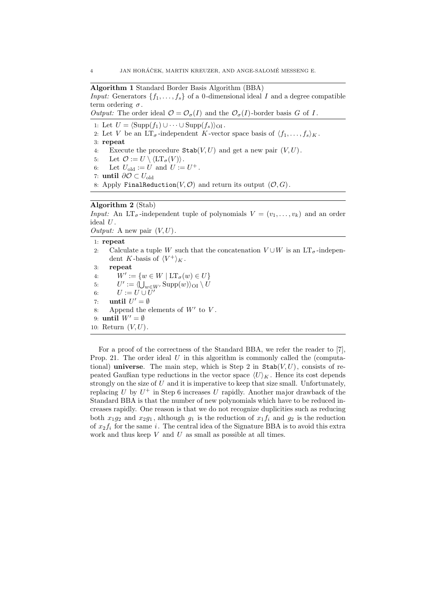### **Algorithm 1** Standard Border Basis Algorithm (BBA)

*Input:* Generators  $\{f_1, \ldots, f_s\}$  of a 0-dimensional ideal *I* and a degree compatible term ordering *σ*.

*Output:* The order ideal  $\mathcal{O} = \mathcal{O}_{\sigma}(I)$  and the  $\mathcal{O}_{\sigma}(I)$ -border basis *G* of *I*.

- 1: Let  $U = \langle \text{Supp}(f_1) \cup \cdots \cup \text{Supp}(f_s) \rangle_{\text{OI}}$ .
- 2: Let *V* be an  $LT_{\sigma}$ -independent *K*-vector space basis of  $\langle f_1, \ldots, f_s \rangle_K$ .
- 3: **repeat**
- 4: Execute the procedure  $\texttt{Stab}(V, U)$  and get a new pair  $(V, U)$ .
- 5: Let  $\mathcal{O} := U \setminus \langle \mathrm{LT}_{\sigma}(V) \rangle$ .
- 6: Let  $U_{old} := U$  and  $U := U^{+}$ .
- 7: **until** *∂O ⊂ U*old
- 8: Apply FinalReduction( $V$ ,  $O$ ) and return its output  $(O, G)$ .

# **Algorithm 2** (Stab)

*Input:* An  $LT_{\sigma}$ -independent tuple of polynomials  $V = (v_1, \ldots, v_k)$  and an order ideal *U* .

*Output:* A new pair (*V, U*).

## 1: **repeat**

- 2: Calculate a tuple *W* such that the concatenation  $V \cup W$  is an  $LT_{\sigma}$ -independent *K*-basis of  $\langle V^+ \rangle_K$ .
- 3: **repeat** 4:  $W' := \{ w \in W \mid \mathop{\rm LT}\nolimits_{\sigma}(w) \in U \}$ 5:  $U' := \langle \bigcup_{w \in W'} \text{Supp}(w) \rangle_{\text{OI}} \setminus U$ 6:  $U := U \cup U'$ 7: **until**  $U' = \emptyset$ 8: Append the elements of *W′* to *V* . 9: **until**  $W' = \emptyset$ 10: Return (*V, U*).

For a proof of the correctness of the Standard BBA, we refer the reader to [7], Prop. 21. The order ideal *U* in this algorithm is commonly called the (computational) **universe**. The main step, which is Step 2 in  $\text{Stab}(V, U)$ , consists of repeated Gaußian type reductions in the vector space  $\langle U \rangle_K$ . Hence its cost depends strongly on the size of *U* and it is imperative to keep that size small. Unfortunately, replacing  $U$  by  $U^+$  in Step 6 increases  $U$  rapidly. Another major drawback of the Standard BBA is that the number of new polynomials which have to be reduced increases rapidly. One reason is that we do not recognize duplicities such as reducing both  $x_1g_2$  and  $x_2g_1$ , although  $g_1$  is the reduction of  $x_1f_i$  and  $g_2$  is the reduction of  $x_2 f_i$  for the same *i*. The central idea of the Signature BBA is to avoid this extra work and thus keep *V* and *U* as small as possible at all times.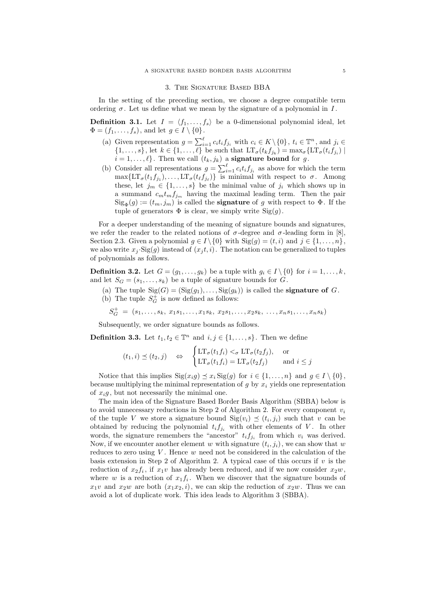#### 3. The Signature Based BBA

In the setting of the preceding section, we choose a degree compatible term ordering  $\sigma$ . Let us define what we mean by the signature of a polynomial in *I*.

**Definition 3.1.** Let  $I = \langle f_1, \ldots, f_s \rangle$  be a 0-dimensional polynomial ideal, let  $\Phi = (f_1, \ldots, f_s)$ , and let  $g \in I \setminus \{0\}$ .

- (a) Given representation  $g = \sum_{i=1}^{\ell} c_i t_i f_{j_i}$  with  $c_i \in K \setminus \{0\}$ ,  $t_i \in \mathbb{T}^n$ , and  $j_i \in$  $\{1,\ldots,s\}$ , let  $k \in \{1,\ldots,\ell\}$  be such that  $LT_{\sigma}(t_k f_{j_k}) = \max_{\sigma} \{LT_{\sigma}(t_i f_{j_i})\}$  $i = 1, \ldots, \ell$ . Then we call  $(t_k, j_k)$  a **signature bound** for *g*.
- (b) Consider all representations  $g = \sum_{i=1}^{\ell} c_i t_i f_{j_i}$  as above for which the term  $\max\{LT_{\sigma}(t_1f_{j_1}),\ldots,LT_{\sigma}(t_{\ell}f_{j_{\ell}})\}\$ is minimal with respect to  $\sigma$ . Among these, let  $j_m \in \{1, \ldots, s\}$  be the minimal value of  $j_i$  which shows up in a summand  $c_m t_m f_{j_m}$  having the maximal leading term. Then the pair  $\text{Sig}_{\Phi}(g) := (t_m, j_m)$  is called the **signature** of g with respect to  $\Phi$ . If the tuple of generators  $\Phi$  is clear, we simply write  $\text{Sig}(q)$ .

For a deeper understanding of the meaning of signature bounds and signatures, we refer the reader to the related notions of  $\sigma$ -degree and  $\sigma$ -leading form in [8], Section 2.3. Given a polynomial  $g \in I \setminus \{0\}$  with  $\text{Sig}(g) = (t, i)$  and  $j \in \{1, \ldots, n\}$ . we also write  $x_j \cdot \text{Sig}(g)$  instead of  $(x_j t, i)$ . The notation can be generalized to tuples of polynomials as follows.

**Definition 3.2.** Let  $G = (g_1, \ldots, g_k)$  be a tuple with  $g_i \in I \setminus \{0\}$  for  $i = 1, \ldots, k$ , and let  $S_G = (s_1, \ldots, s_k)$  be a tuple of signature bounds for  $G$ .

- (a) The tuple  $\text{Sig}(G) = (\text{Sig}(g_1), \ldots, \text{Sig}(g_k))$  is called the **signature of** *G*.
- (b) The tuple  $S_G^+$  is now defined as follows:

 $S_G^+ = (s_1, \ldots, s_k, x_1 s_1, \ldots, x_1 s_k, x_2 s_1, \ldots, x_2 s_k, \ldots, x_n s_1, \ldots, x_n s_k)$ 

Subsequently, we order signature bounds as follows.

**Definition 3.3.** Let  $t_1, t_2 \in \mathbb{T}^n$  and  $i, j \in \{1, \ldots, s\}$ . Then we define

$$
(t_1, i) \preceq (t_2, j) \quad \Leftrightarrow \quad \begin{cases} \mathop{\rm LT}\nolimits_{\sigma}(t_1 f_i) <_{\sigma} \mathop{\rm LT}\nolimits_{\sigma}(t_2 f_j), & \text{or} \\ \mathop{\rm LT}\nolimits_{\sigma}(t_1 f_i) = \mathop{\rm LT}\nolimits_{\sigma}(t_2 f_j) & \text{and } i \leq j \end{cases}
$$

Notice that this implies  $\text{Sig}(x_i g) \preceq x_i \text{Sig}(g)$  for  $i \in \{1, \ldots, n\}$  and  $g \in I \setminus \{0\},$ because multiplying the minimal representation of  $g$  by  $x_i$  yields one representation of  $x_i g$ , but not necessarily the minimal one.

The main idea of the Signature Based Border Basis Algorithm (SBBA) below is to avoid unnecessary reductions in Step 2 of Algorithm 2. For every component  $v_i$ of the tuple *V* we store a signature bound  $\text{Sig}(v_i) \preceq (t_i, j_i)$  such that *v* can be obtained by reducing the polynomial  $t_i f_{j_i}$  with other elements of *V*. In other words, the signature remembers the "ancestor"  $t_i f_{j_i}$  from which  $v_i$  was derived. Now, if we encounter another element *w* with signature  $(t_i, j_i)$ , we can show that *w* reduces to zero using *V* . Hence *w* need not be considered in the calculation of the basis extension in Step 2 of Algorithm 2. A typical case of this occurs if *v* is the reduction of  $x_2 f_i$ , if  $x_1 v$  has already been reduced, and if we now consider  $x_2 w$ , where  $w$  is a reduction of  $x_1 f_i$ . When we discover that the signature bounds of  $x_1v$  and  $x_2w$  are both  $(x_1x_2, i)$ , we can skip the reduction of  $x_2w$ . Thus we can avoid a lot of duplicate work. This idea leads to Algorithm 3 (SBBA).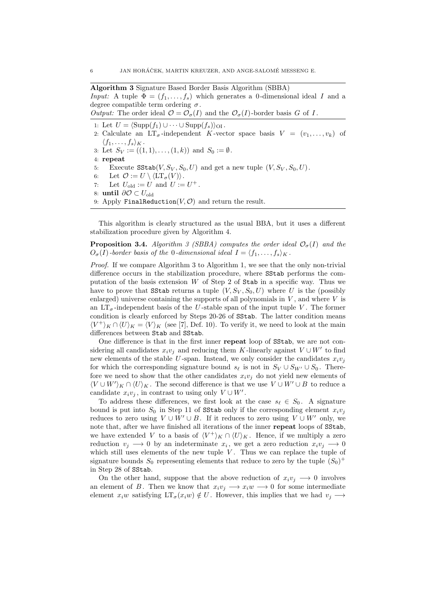### **Algorithm 3** Signature Based Border Basis Algorithm (SBBA)

*Input:* A tuple  $\Phi = (f_1, \ldots, f_s)$  which generates a 0-dimensional ideal *I* and a degree compatible term ordering *σ*.

*Output:* The order ideal  $\mathcal{O} = \mathcal{O}_{\sigma}(I)$  and the  $\mathcal{O}_{\sigma}(I)$ -border basis *G* of *I*.

- 1: Let  $U = \langle \text{Supp}(f_1) \cup \cdots \cup \text{Supp}(f_s) \rangle_{\text{OI}}$ .
- 2: Calculate an  $LT_{\sigma}$ -independent *K*-vector space basis  $V = (v_1, \ldots, v_k)$  of  $\langle f_1,\ldots,f_s\rangle_K$ .
- 3: Let  $S_V := ((1,1), \ldots, (1,k))$  and  $S_0 := \emptyset$ .
- 4: **repeat**
- 5: Execute  $\text{SStab}(V, S_V, S_0, U)$  and get a new tuple  $(V, S_V, S_0, U)$ .
- 6: Let  $\mathcal{O} := U \setminus \langle \mathrm{LT}_{\sigma}(V) \rangle$ .
- 7: Let  $U_{old} := U$  and  $U := U^{+}$ .
- 8: **until** *∂O ⊂ U*old
- 9: Apply FinalReduction( $V$ ,  $O$ ) and return the result.

This algorithm is clearly structured as the usual BBA, but it uses a different stabilization procedure given by Algorithm 4.

**Proposition 3.4.** *Algorithm 3 (SBBA) computes the order ideal*  $\mathcal{O}_{\sigma}(I)$  *and the*  $O_{\sigma}(I)$ -border basis of the 0-dimensional ideal  $I = \langle f_1, \ldots, f_s \rangle_K$ .

*Proof.* If we compare Algorithm 3 to Algorithm 1, we see that the only non-trivial difference occurs in the stabilization procedure, where SStab performs the computation of the basis extension  $W$  of Step 2 of Stab in a specific way. Thus we have to prove that SStab returns a tuple  $(V, S_V, S_0, U)$  where *U* is the (possibly enlarged) universe containing the supports of all polynomials in *V* , and where *V* is an  $LT_{\sigma}$ -independent basis of the *U*-stable span of the input tuple *V*. The former condition is clearly enforced by Steps 20-26 of SStab. The latter condition means  $\langle V^+ \rangle_K \cap \langle U \rangle_K = \langle V \rangle_K$  (see [7], Def. 10). To verify it, we need to look at the main differences between Stab and SStab.

One difference is that in the first inner **repeat** loop of SStab, we are not considering all candidates  $x_i v_j$  and reducing them *K*-linearly against  $V \cup W'$  to find new elements of the stable U-span. Instead, we only consider the candidates  $x_i v_j$ for which the corresponding signature bound  $s_{\ell}$  is not in  $S_V \cup S_W \cup S_0$ . Therefore we need to show that the other candidates  $x_i v_j$  do not yield new elements of  $\langle V \cup W' \rangle_K \cap \langle U \rangle_K$ . The second difference is that we use  $V \cup W' \cup B$  to reduce a candidate  $x_i v_j$ , in contrast to using only  $V \cup W'$ .

To address these differences, we first look at the case  $s_{\ell} \in S_0$ . A signature bound is put into  $S_0$  in Step 11 of SStab only if the corresponding element  $x_i v_j$ reduces to zero using  $V \cup W' \cup B$ . If it reduces to zero using  $V \cup W'$  only, we note that, after we have finished all iterations of the inner **repeat** loops of SStab, we have extended *V* to a basis of  $\langle V^+ \rangle_K \cap \langle U \rangle_K$ . Hence, if we multiply a zero reduction  $v_j \to 0$  by an indeterminate  $x_i$ , we get a zero reduction  $x_i v_j \to 0$ which still uses elements of the new tuple  $V$ . Thus we can replace the tuple of signature bounds  $S_0$  representing elements that reduce to zero by the tuple  $(S_0)^+$ in Step 28 of SStab.

On the other hand, suppose that the above reduction of  $x_i v_j \rightarrow 0$  involves an element of *B*. Then we know that  $x_i v_j \longrightarrow x_i w \longrightarrow 0$  for some intermediate element  $x_iw$  satisfying  $LT_{\sigma}(x_iw) \notin U$ . However, this implies that we had  $v_i \longrightarrow$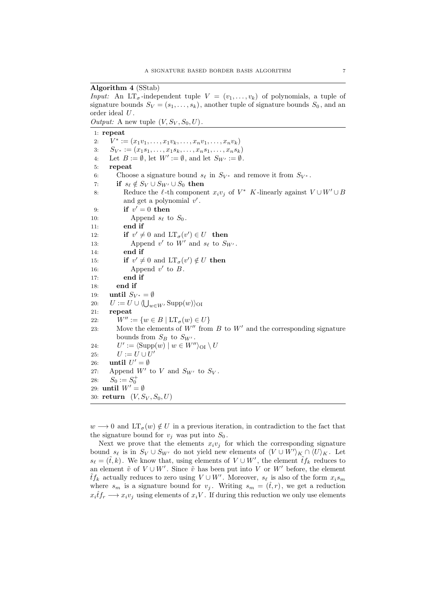**Algorithm 4** (SStab)

*Input:* An  $LT_{\sigma}$ -independent tuple  $V = (v_1, \ldots, v_k)$  of polynomials, a tuple of signature bounds  $S_V = (s_1, \ldots, s_k)$ , another tuple of signature bounds  $S_0$ , and an order ideal *U* .

*Output:* A new tuple  $(V, S_V, S_0, U)$ .

1: **repeat** 2:  $V^* := (x_1v_1, \ldots, x_1v_k, \ldots, x_nv_1, \ldots, x_nv_k)$ 3:  $S_V^* := (x_1 s_1, \ldots, x_1 s_k, \ldots, x_n s_1, \ldots, x_n s_k)$ 4: Let  $B := \emptyset$ , let  $W' := \emptyset$ , and let  $S_{W'} := \emptyset$ . 5: **repeat** 6: Choose a signature bound  $s_{\ell}$  in  $S_{V^*}$  and remove it from  $S_{V^*}$ . 7: **if**  $s_{\ell} \notin S_V \cup S_{W'} \cup S_0$  then 8: Reduce the  $\ell$ -th component  $x_i v_j$  of  $V^*$  *K*-linearly against  $V \cup W' \cup B$ and get a polynomial *v ′* . 9: **if**  $v' = 0$  **then** 10: Append  $s_\ell$  to  $S_0$ . 11: **end if** 12: **if**  $v' \neq 0$  and  $LT_{\sigma}(v') \in U$  **then** 13: Append  $v'$  to  $W'$  and  $s_{\ell}$  to  $S_{W'}$ . 14: **end if** 15: **if**  $v' \neq 0$  and  $LT_{\sigma}(v') \notin U$  then 16: Append  $v'$  to  $B$ . 17: **end if** 18: **end if** 19: **until**  $S_{V^*} = \emptyset$ 20:  $U := U \cup \langle \bigcup_{w \in W'} \text{Supp}(w) \rangle_{\text{OI}}$ 21: **repeat** 22:  $W'' := \{ w \in B \mid \mathop{\rm LT}\nolimits_{\sigma}(w) \in U \}$ 23: Move the elements of *W′′* from *B* to *W′* and the corresponding signature bounds from  $S_B$  to  $S_{W'}$ . 24: *U ′* := *⟨*Supp(*w*) *| w ∈ W′′⟩*OI *\ U* 25:  $U := U \cup U'$ 26: **until**  $U' = \emptyset$ 27: Append  $W'$  to  $V$  and  $S_{W'}$  to  $S_V$ . 28:  $S_0 := S_0^+$ 29: **until**  $W' = \emptyset$ 30: **return**  $(V, S_V, S_0, U)$ 

 $w \rightarrow 0$  and  $LT_{\sigma}(w) \notin U$  in a previous iteration, in contradiction to the fact that the signature bound for  $v_i$  was put into  $S_0$ .

Next we prove that the elements  $x_i v_j$  for which the corresponding signature bound  $s_{\ell}$  is in  $S_V \cup S_{W'}$  do not yield new elements of  $\langle V \cup W' \rangle_K \cap \langle U \rangle_K$ . Let  $s_{\ell} = (\tilde{t}, k)$ . We know that, using elements of  $V \cup W'$ , the element  $\tilde{t}f_k$  reduces to an element  $\tilde{v}$  of  $V \cup W'$ . Since  $\tilde{v}$  has been put into V or W' before, the element  $\tilde{t}$  $f_k$  actually reduces to zero using  $V \cup W'$ . Moreover,  $s_\ell$  is also of the form  $x_i s_m$ where  $s_m$  is a signature bound for  $v_j$ . Writing  $s_m = (\hat{t}, r)$ , we get a reduction  $x_i \hat{t} f_r \longrightarrow x_i v_j$  using elements of  $x_i V$ . If during this reduction we only use elements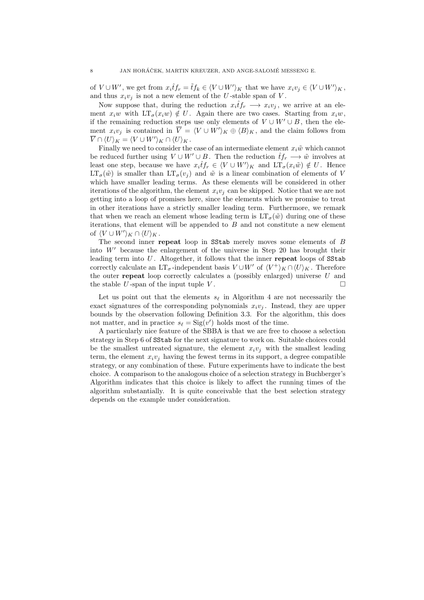of  $V \cup W'$ , we get from  $x_i \hat{t} f_r = \tilde{t} f_k \in \langle V \cup W' \rangle_K$  that we have  $x_i v_j \in \langle V \cup W' \rangle_K$ , and thus  $x_i v_j$  is not a new element of the U-stable span of V.

Now suppose that, during the reduction  $x_i \hat{t} f_r \longrightarrow x_i v_j$ , we arrive at an element  $x_iw$  with  $LT_{\sigma}(x_iw) \notin U$ . Again there are two cases. Starting from  $x_iw$ , if the remaining reduction steps use only elements of  $V \cup W' \cup B$ , then the element  $x_i v_j$  is contained in  $V = \langle V \cup W' \rangle_K \oplus \langle B \rangle_K$ , and the claim follows from  $V \cap \langle U \rangle_K = \langle V \cup W' \rangle_K \cap \langle U \rangle_K$ .

Finally we need to consider the case of an intermediate element  $x_i\tilde{w}$  which cannot be reduced further using  $V \cup W' \cup B$ . Then the reduction  $\hat{t}f_r \longrightarrow \tilde{w}$  involves at least one step, because we have  $x_i \hat{t} f_r \in \langle V \cup W' \rangle_K$  and  $LT_{\sigma}(x_i \tilde{w}) \notin U$ . Hence  $LT_{\sigma}(\tilde{w})$  is smaller than  $LT_{\sigma}(v_i)$  and  $\tilde{w}$  is a linear combination of elements of *V* which have smaller leading terms. As these elements will be considered in other iterations of the algorithm, the element  $x_i v_j$  can be skipped. Notice that we are not getting into a loop of promises here, since the elements which we promise to treat in other iterations have a strictly smaller leading term. Furthermore, we remark that when we reach an element whose leading term is  $LT_{\sigma}(\tilde{w})$  during one of these iterations, that element will be appended to *B* and not constitute a new element of  $\langle V \cup W' \rangle_K \cap \langle U \rangle_K$ .

The second inner **repeat** loop in SStab merely moves some elements of *B* into *W′* because the enlargement of the universe in Step 20 has brought their leading term into *U* . Altogether, it follows that the inner **repeat** loops of SStab correctly calculate an  $LT_{\sigma}$ -independent basis  $V \cup W'$  of  $\langle V^+ \rangle_K \cap \langle U \rangle_K$ . Therefore the outer **repeat** loop correctly calculates a (possibly enlarged) universe *U* and the stable  $U$ -span of the input tuple  $V$ .

Let us point out that the elements  $s_\ell$  in Algorithm 4 are not necessarily the exact signatures of the corresponding polynomials  $x_i v_j$ . Instead, they are upper bounds by the observation following Definition 3.3. For the algorithm, this does not matter, and in practice  $s_{\ell} = \text{Sig}(v')$  holds most of the time.

A particularly nice feature of the SBBA is that we are free to choose a selection strategy in Step 6 of SStab for the next signature to work on. Suitable choices could be the smallest untreated signature, the element  $x_i v_j$  with the smallest leading term, the element  $x_i v_j$  having the fewest terms in its support, a degree compatible strategy, or any combination of these. Future experiments have to indicate the best choice. A comparison to the analogous choice of a selection strategy in Buchberger's Algorithm indicates that this choice is likely to affect the running times of the algorithm substantially. It is quite conceivable that the best selection strategy depends on the example under consideration.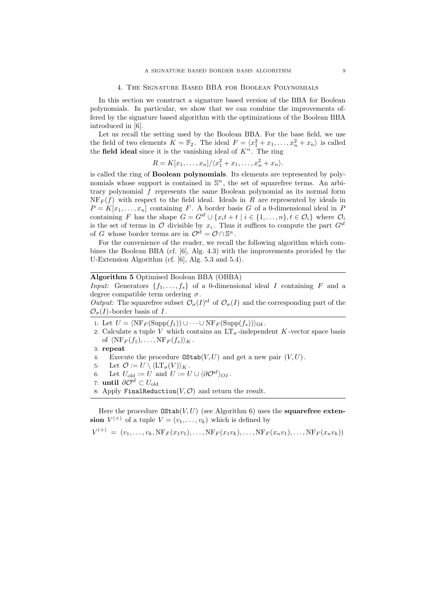#### 4. The Signature Based BBA for Boolean Polynomials

In this section we construct a signature based version of the BBA for Boolean polynomials. In particular, we show that we can combine the improvements offered by the signature based algorithm with the optimizations of the Boolean BBA introduced in [6].

Let us recall the setting used by the Boolean BBA. For the base field, we use the field of two elements  $K = \mathbb{F}_2$ . The ideal  $F = \langle x_1^2 + x_1, \ldots, x_n^2 + x_n \rangle$  is called the **field ideal** since it is the vanishing ideal of *K<sup>n</sup>* . The ring

$$
R = K[x_1,\ldots,x_n]/\langle x_1^2 + x_1,\ldots,x_n^2 + x_n\rangle.
$$

is called the ring of **Boolean polynomials**. Its elements are represented by polynomials whose support is contained in  $\mathbb{S}^n$ , the set of squarefree terms. An arbitrary polynomial *f* represents the same Boolean polynomial as its normal form  $NF_F(f)$  with respect to the field ideal. Ideals in *R* are represented by ideals in  $P = K[x_1, \ldots, x_n]$  containing *F*. A border basis *G* of a 0-dimensional ideal in *P* containing *F* has the shape  $G = G^{\text{sf}} \cup \{x_i t + t \mid i \in \{1, ..., n\}, t \in \mathcal{O}_i\}$  where  $\mathcal{O}_i$ is the set of terms in  $\mathcal O$  divisible by  $x_i$ . Thus it suffices to compute the part  $G^{\text{sf}}$ of *G* whose border terms are in  $\mathcal{O}^{\text{sf}} = \mathcal{O} \cap \mathbb{S}^n$ .

For the convenience of the reader, we recall the following algorithm which combines the Boolean BBA (cf. [6], Alg. 4.3) with the improvements provided by the U-Extension Algorithm (cf. [6], Alg. 5.3 and 5.4).

# **Algorithm 5** Optimised Boolean BBA (OBBA)

*Input:* Generators  $\{f_1, \ldots, f_s\}$  of a 0-dimensional ideal *I* containing *F* and a degree compatible term ordering *σ*.

*Output:* The squarefree subset  $\mathcal{O}_{\sigma}(I)$ <sup>sf</sup> of  $\mathcal{O}_{\sigma}(I)$  and the corresponding part of the  $\mathcal{O}_{\sigma}(I)$ -border basis of *I*.

- 1: Let  $U = \langle \text{NF}_F(\text{Supp}(f_1)) \cup \cdots \cup \text{NF}_F(\text{Supp}(f_s)) \rangle_{\text{OI}}$ .
- 2: Calculate a tuple *V* which contains an  $LT_{\sigma}$ -independent *K*-vector space basis of  $\langle \text{NF}_F(f_1), \ldots, \text{NF}_F(f_s) \rangle_K$ .
- 3: **repeat**
- 4: Execute the procedure  $\text{OStab}(V, U)$  and get a new pair  $(V, U)$ .
- 5: Let  $\mathcal{O} := U \setminus \langle \mathrm{LT}_{\sigma}(V) \rangle_K$ .
- 6: Let  $U_{old} := U$  and  $U := U \cup \langle \partial \mathcal{O}^{\text{sf}} \rangle_{OI}$ .
- 7: **until** *∂O*sf *⊂ U*old
- 8: Apply FinalReduction( $V, \mathcal{O}$ ) and return the result.

Here the procedure  $OStab(V, U)$  (see Algorithm 6) uses the **squarefree extension**  $V^{(+)}$  of a tuple  $V = (v_1, \ldots, v_k)$  which is defined by

$$
V^{(+)} = (v_1, \ldots, v_k, \text{NF}_F(x_1v_1), \ldots, \text{NF}_F(x_1v_k), \ldots, \text{NF}_F(x_nv_1), \ldots, \text{NF}_F(x_nv_k))
$$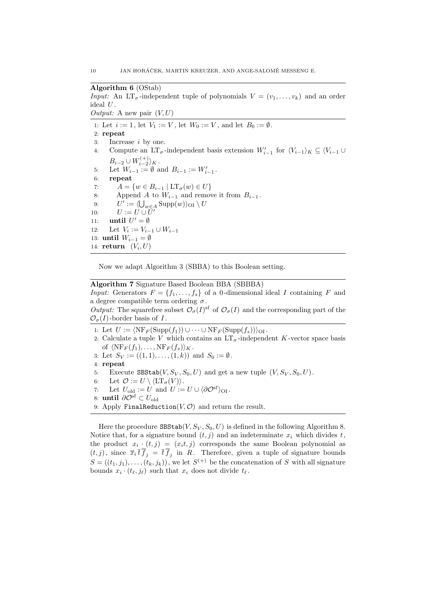# **Algorithm 6** (OStab)

*Input:* An  $LT_{\sigma}$ -independent tuple of polynomials  $V = (v_1, \ldots, v_k)$  and an order ideal *U* .

*Output:* A new pair  $(V, U)$ 

1: Let  $i := 1$ , let  $V_1 := V$ , let  $W_0 := V$ , and let  $B_0 := \emptyset$ . 2: **repeat** 3: Increase *i* by one. 4: Compute an  $LT_{\sigma}$ -independent basis extension  $W'_{i-1}$  for  $\langle V_{i-1} \rangle_K \subseteq \langle V_{i-1} \cup$  $B_{i-2} \cup W_{i-2}^{(+)} \rangle_K$ . 5: Let  $W_{i-1} := \emptyset$  and  $B_{i-1} := W'_{i-1}$ . 6: **repeat** 7:  $A = \{w \in B_{i-1} \mid \text{LT}_{\sigma}(w) \in U\}$ 8: Append *A* to  $W_{i-1}$  and remove it from  $B_{i-1}$ .<br>9:  $U' := \langle |\n\int_{\text{max } A} \text{Supp}(w) \rangle_{\text{OI}} \setminus U$ 9:  $U' := \langle \bigcup_{w \in A} \text{Supp}(w) \rangle_{\text{OI}} \setminus U$ 10:  $U := U \cup U$ *′* 11: **until**  $U' = \emptyset$ 12: Let  $V_i := V_{i-1} \cup W_{i-1}$ 13: **until**  $W_{i-1} = \emptyset$ 14: **return**  $(V_i, U)$ 

Now we adapt Algorithm 3 (SBBA) to this Boolean setting.

# **Algorithm 7** Signature Based Boolean BBA (SBBBA)

*Input:* Generators  $F = \{f_1, \ldots, f_s\}$  of a 0-dimensional ideal *I* containing *F* and a degree compatible term ordering *σ*.

*Output:* The squarefree subset  $\mathcal{O}_{\sigma}(I)$ <sup>sf</sup> of  $\mathcal{O}_{\sigma}(I)$  and the corresponding part of the  $\mathcal{O}_{\sigma}(I)$ -border basis of *I*.

- 1: Let  $U := \langle \text{NF}_F(\text{Supp}(f_1)) \cup \cdots \cup \text{NF}_F(\text{Supp}(f_s)) \rangle_{\text{OI}}$ .
- 2: Calculate a tuple *V* which contains an  $LT_{\sigma}$ -independent *K*-vector space basis of  $\langle \text{NF}_F(f_1), \ldots, \text{NF}_F(f_s) \rangle_K$ .
- 3: Let  $S_V := ((1,1), \ldots, (1,k))$  and  $S_0 := \emptyset$ .
- 4: **repeat**
- 5: Execute SBStab $(V, S_V, S_0, U)$  and get a new tuple  $(V, S_V, S_0, U)$ .
- 6: Let  $\mathcal{O} := U \setminus \langle \mathrm{LT}_{\sigma}(V) \rangle$ .
- 7: Let  $U_{old} := U$  and  $U := U \cup \langle \partial \mathcal{O}^{\text{sf}} \rangle_{\text{OI}}$ .
- 8: **until** *∂O*sf *⊂ U*old
- 9: Apply FinalReduction( $V, \mathcal{O}$ ) and return the result.

Here the procedure  $SBStab(V, S_V, S_0, U)$  is defined in the following Algorithm 8. Notice that, for a signature bound  $(t, j)$  and an indeterminate  $x_i$  which divides  $t$ , the product  $x_i \cdot (t, j) = (x_i t, j)$  corresponds the same Boolean polynomial as  $(t, j)$ , since  $\overline{x}_i \overline{t} f_j = \overline{t} f_j$  in *R*. Therefore, given a tuple of signature bounds  $S = ((t_1, j_1), \ldots, (t_k, j_k))$ , we let  $S^{(+)}$  be the concatenation of *S* with all signature bounds  $x_i \cdot (t_\ell, j_\ell)$  such that  $x_i$  does not divide  $t_\ell$ .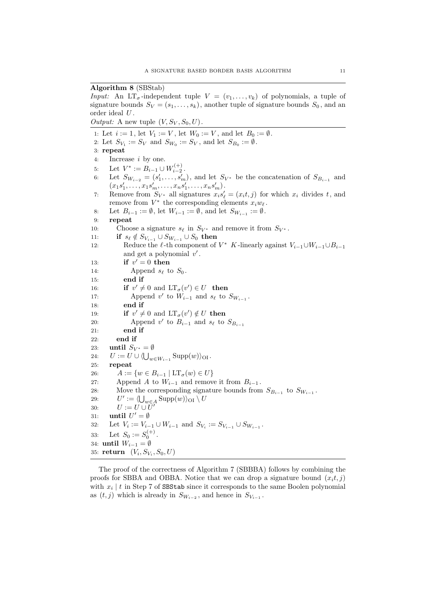### **Algorithm 8** (SBStab)

*Input:* An  $LT_{\sigma}$ -independent tuple  $V = (v_1, \ldots, v_k)$  of polynomials, a tuple of signature bounds  $S_V = (s_1, \ldots, s_k)$ , another tuple of signature bounds  $S_0$ , and an order ideal *U* .

*Output:* A new tuple  $(V, S_V, S_0, U)$ .

1: Let  $i := 1$ , let  $V_1 := V$ , let  $W_0 := V$ , and let  $B_0 := \emptyset$ . 2: Let  $S_{V_1} := S_V$  and  $S_{W_0} := S_V$ , and let  $S_{B_0} := \emptyset$ . 3: **repeat** 4: Increase *i* by one. 5: Let  $V^* := B_{i-1} \cup W_{i-2}^{(+)}$ . 6: Let  $S_{W_{i-2}} = (s'_1, \ldots, s'_m)$ , and let  $S_{V^*}$  be the concatenation of  $S_{B_{i-1}}$  and  $(x_1s'_1,\ldots,x_1s'_m,\ldots,x_ns'_1,\ldots,x_ns'_m).$ 7: Remove from  $S_{V^*}$  all signatures  $x_i s'_\ell = (x_i t, j)$  for which  $x_i$  divides  $t$ , and remove from  $V^*$  the corresponding elements  $x_iw_\ell$ . 8: Let  $B_{i-1} := \emptyset$ , let  $W_{i-1} := \emptyset$ , and let  $S_{W_{i-1}} := \emptyset$ . 9: **repeat** 10: Choose a signature  $s_{\ell}$  in  $S_{V^*}$  and remove it from  $S_{V^*}$ . 11: **if**  $s_{\ell} \notin S_{V_{i-1}} \cup S_{W_{i-1}} \cup S_0$  then<br>12: Reduce the  $\ell$ -th component of 12: Reduce the  $\ell$ -th component of  $V^*$  *K*-linearly against  $V_{i-1} \cup W_{i-1} \cup B_{i-1}$ and get a polynomial *v ′* . 13: **if**  $v' = 0$  **then** 14: Append  $s_\ell$  to  $S_0$ . 15: **end if** 16: **if**  $v' \neq 0$  and  $LT_{\sigma}(v') \in U$  **then** 17: Append *v*' to  $W_{i-1}$  and  $s_{\ell}$  to  $S_{W_{i-1}}$ . 18: **end if** 19: **if**  $v' \neq 0$  and  $LT_{\sigma}(v') \notin U$  then 20: Append *v*<sup>*'*</sup> to  $B_{i-1}$  and  $s_{\ell}$  to  $S_{B_{i-1}}$ 21: **end if** 22: **end if** 23: **until**  $S_{V^*} = \emptyset$ 24:  $U := U \cup \langle \bigcup_{w \in W_{i-1}} \text{Supp}(w) \rangle_{\text{OI}}.$ 25: **repeat** 26:  $A := \{w \in B_{i-1} \mid \text{LT}_{\sigma}(w) \in U\}$ <br>27: Append A to  $W_{i-1}$  and remov Append *A* to  $W_{i-1}$  and remove it from  $B_{i-1}$ . 28: Move the corresponding signature bounds from  $S_{B_{i-1}}$  to  $S_{W_{i-1}}$ . 29: *U* 29:  $U' := \langle \bigcup_{w \in A} \text{Supp}(w) \rangle_{\text{OI}} \setminus U$ <br>30:  $U := U \cup U'$ 31: **until**  $U' = \emptyset$ 32: Let  $V_i := V_{i-1} \cup W_{i-1}$  and  $S_{V_i} := S_{V_{i-1}} \cup S_{W_{i-1}}$ . 33: Let  $S_0 := S_0^{(+)}$ . 34: **until** *W<sup>i</sup>−*<sup>1</sup> = *∅*  $35:$  **return**  $(V_i, S_{V_i}, S_0, U)$ 

The proof of the correctness of Algorithm 7 (SBBBA) follows by combining the proofs for SBBA and OBBA. Notice that we can drop a signature bound  $(x_it, j)$ with  $x_i | t$  in Step 7 of SBStab since it corresponds to the same Boolen polynomial as  $(t, j)$  which is already in  $S_{W_{i-2}}$ , and hence in  $S_{V_{i-1}}$ .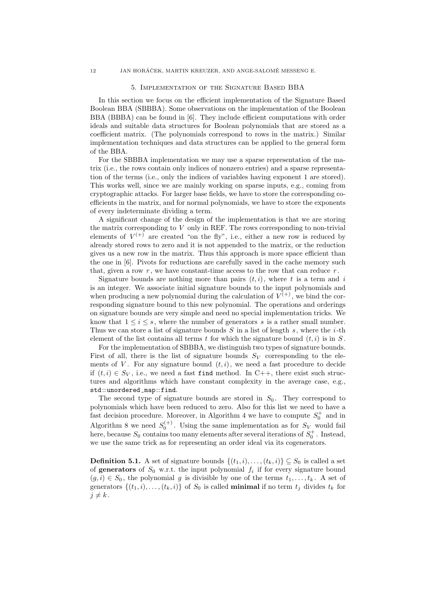#### 5. Implementation of the Signature Based BBA

In this section we focus on the efficient implementation of the Signature Based Boolean BBA (SBBBA). Some observations on the implementation of the Boolean BBA (BBBA) can be found in [6]. They include efficient computations with order ideals and suitable data structures for Boolean polynomials that are stored as a coefficient matrix. (The polynomials correspond to rows in the matrix.) Similar implementation techniques and data structures can be applied to the general form of the BBA.

For the SBBBA implementation we may use a sparse representation of the matrix (i.e., the rows contain only indices of nonzero entries) and a sparse representation of the terms (i.e., only the indices of variables having exponent 1 are stored). This works well, since we are mainly working on sparse inputs, e.g., coming from cryptographic attacks. For larger base fields, we have to store the corresponding coefficients in the matrix, and for normal polynomials, we have to store the exponents of every indeterminate dividing a term.

A significant change of the design of the implementation is that we are storing the matrix corresponding to *V* only in REF. The rows corresponding to non-trivial elements of  $V^{(+)}$  are created "on the fly", i.e., either a new row is reduced by already stored rows to zero and it is not appended to the matrix, or the reduction gives us a new row in the matrix. Thus this approach is more space efficient than the one in [6]. Pivots for reductions are carefully saved in the cache memory such that, given a row  $r$ , we have constant-time access to the row that can reduce  $r$ .

Signature bounds are nothing more than pairs  $(t, i)$ , where  $t$  is a term and  $i$ is an integer. We associate initial signature bounds to the input polynomials and when producing a new polynomial during the calculation of  $V^{(+)}$ , we bind the corresponding signature bound to this new polynomial. The operations and orderings on signature bounds are very simple and need no special implementation tricks. We know that  $1 \leq i \leq s$ , where the number of generators s is a rather small number. Thus we can store a list of signature bounds *S* in a list of length *s*, where the *i*-th element of the list contains all terms  $t$  for which the signature bound  $(t, i)$  is in  $S$ .

For the implementation of SBBBA, we distinguish two types of signature bounds. First of all, there is the list of signature bounds  $S_V$  corresponding to the elements of  $V$ . For any signature bound  $(t, i)$ , we need a fast procedure to decide if  $(t, i) \in S_V$ , i.e., we need a fast find method. In C++, there exist such structures and algorithms which have constant complexity in the average case, e.g., std::unordered\_map::find.

The second type of signature bounds are stored in  $S_0$ . They correspond to polynomials which have been reduced to zero. Also for this list we need to have a fast decision procedure. Moreover, in Algorithm 4 we have to compute  $S_0^+$  and in Algorithm 8 we need  $S_0^{(+)}$ . Using the same implementation as for  $S_V$  would fail here, because  $S_0$  contains too many elements after several iterations of  $S_0^+$ . Instead, we use the same trick as for representing an order ideal via its cogenerators.

**Definition 5.1.** A set of signature bounds  $\{(t_1, i), \ldots, (t_k, i)\} \subseteq S_0$  is called a set of **generators** of  $S_0$  w.r.t. the input polynomial  $f_i$  if for every signature bound  $(g, i) \in S_0$ , the polynomial g is divisible by one of the terms  $t_1, \ldots, t_k$ . A set of generators  $\{(t_1, i), \ldots, (t_k, i)\}\$  of  $S_0$  is called **minimal** if no term  $t_i$  divides  $t_k$  for  $j \neq k$ .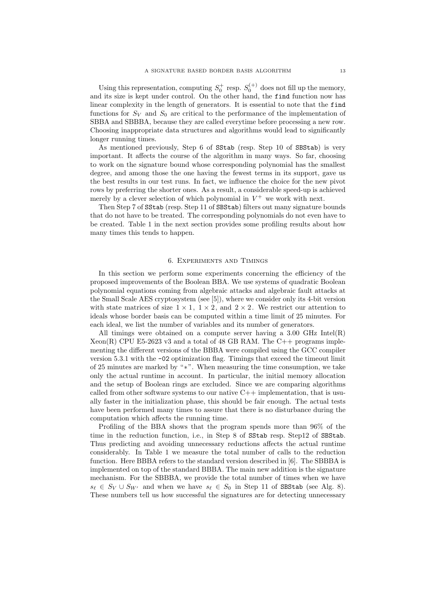Using this representation, computing  $S_0^+$  resp.  $S_0^{(+)}$  does not fill up the memory, and its size is kept under control. On the other hand, the find function now has linear complexity in the length of generators. It is essential to note that the find functions for  $S_V$  and  $S_0$  are critical to the performance of the implementation of SBBA and SBBBA, because they are called everytime before processing a new row. Choosing inappropriate data structures and algorithms would lead to significantly longer running times.

As mentioned previously, Step 6 of SStab (resp. Step 10 of SBStab) is very important. It affects the course of the algorithm in many ways. So far, choosing to work on the signature bound whose corresponding polynomial has the smallest degree, and among those the one having the fewest terms in its support, gave us the best results in our test runs. In fact, we influence the choice for the new pivot rows by preferring the shorter ones. As a result, a considerable speed-up is achieved merely by a clever selection of which polynomial in  $V^+$  we work with next.

Then Step 7 of SStab (resp. Step 11 of SBStab) filters out many signature bounds that do not have to be treated. The corresponding polynomials do not even have to be created. Table 1 in the next section provides some profiling results about how many times this tends to happen.

### 6. Experiments and Timings

In this section we perform some experiments concerning the efficiency of the proposed improvements of the Boolean BBA. We use systems of quadratic Boolean polynomial equations coming from algebraic attacks and algebraic fault attacks at the Small Scale AES cryptosystem (see [5]), where we consider only its 4-bit version with state matrices of size  $1 \times 1$ ,  $1 \times 2$ , and  $2 \times 2$ . We restrict our attention to ideals whose border basis can be computed within a time limit of 25 minutes. For each ideal, we list the number of variables and its number of generators.

All timings were obtained on a compute server having a  $3.00 \text{ GHz}$  Intel(R) Xeon(R) CPU E5-2623 v3 and a total of 48 GB RAM. The  $C++$  programs implementing the different versions of the BBBA were compiled using the GCC compiler version 5.3.1 with the -02 optimization flag. Timings that exceed the timeout limit of 25 minutes are marked by "*∗*". When measuring the time consumption, we take only the actual runtime in account. In particular, the initial memory allocation and the setup of Boolean rings are excluded. Since we are comparing algorithms called from other software systems to our native  $C++$  implementation, that is usually faster in the initialization phase, this should be fair enough. The actual tests have been performed many times to assure that there is no disturbance during the computation which affects the running time.

Profiling of the BBA shows that the program spends more than 96% of the time in the reduction function, i.e., in Step 8 of SStab resp. Step12 of SBStab. Thus predicting and avoiding unnecessary reductions affects the actual runtime considerably. In Table 1 we measure the total number of calls to the reduction function. Here BBBA refers to the standard version described in [6]. The SBBBA is implemented on top of the standard BBBA. The main new addition is the signature mechanism. For the SBBBA, we provide the total number of times when we have  $s_{\ell} \in S_V \cup S_{W'}$  and when we have  $s_{\ell} \in S_0$  in Step 11 of SBStab (see Alg. 8). These numbers tell us how successful the signatures are for detecting unnecessary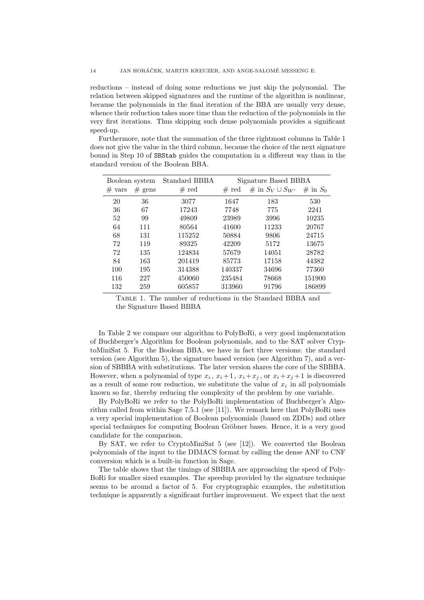reductions – instead of doing some reductions we just skip the polynomial. The relation between skipped signatures and the runtime of the algorithm is nonlinear, because the polynomials in the final iteration of the BBA are usually very dense, whence their reduction takes more time than the reduction of the polynomials in the very first iterations. Thus skipping such dense polynomials provides a significant speed-up.

Furthermore, note that the summation of the three rightmost columns in Table 1 does not give the value in the third column, because the choice of the next signature bound in Step 10 of SBStab guides the computation in a different way than in the standard version of the Boolean BBA.

| Boolean system |          | Standard BBBA   | Signature Based BBBA |                        |               |
|----------------|----------|-----------------|----------------------|------------------------|---------------|
| $#$ vars       | $#$ gens | $# \text{ red}$ | $# \text{ red}$      | # in $S_V \cup S_{W'}$ | $\#$ in $S_0$ |
| 20             | 36       | 3077            | 1647                 | 183                    | 530           |
| 36             | 67       | 17243           | 7748                 | 775                    | 2241          |
| 52             | 99       | 49809           | 23989                | 3996                   | 10235         |
| 64             | 111      | 80564           | 41600                | 11233                  | 20767         |
| 68             | 131      | 115252          | 50884                | 9806                   | 24715         |
| 72             | 119      | 89325           | 42209                | 5172                   | 13675         |
| 72             | 135      | 124834          | 57679                | 14051                  | 28782         |
| 84             | 163      | 201419          | 85773                | 17158                  | 44382         |
| 100            | 195      | 314388          | 140337               | 34696                  | 77360         |
| 116            | 227      | 450060          | 235484               | 78668                  | 151900        |
| 132            | 259      | 605857          | 313960               | 91796                  | 186899        |



In Table 2 we compare our algorithm to PolyBoRi, a very good implementation of Buchberger's Algorithm for Boolean polynomials, and to the SAT solver CryptoMiniSat 5. For the Boolean BBA, we have in fact three versions: the standard version (see Algorithm 5), the signature based version (see Algorithm 7), and a version of SBBBA with substitutions. The later version shares the core of the SBBBA. However, when a polynomial of type  $x_i$ ,  $x_i+1$ ,  $x_i+x_j$ , or  $x_i+x_j+1$  is discovered as a result of some row reduction, we substitute the value of  $x_i$  in all polynomials known so far, thereby reducing the complexity of the problem by one variable.

By PolyBoRi we refer to the PolyBoRi implementation of Buchberger's Algorithm called from within Sage 7.5.1 (see [11]). We remark here that PolyBoRi uses a very special implementation of Boolean polynomials (based on ZDDs) and other special techniques for computing Boolean Gröbner bases. Hence, it is a very good candidate for the comparison.

By SAT, we refer to CryptoMiniSat 5 (see [12]). We converted the Boolean polynomials of the input to the DIMACS format by calling the dense ANF to CNF conversion which is a built-in function in Sage.

The table shows that the timings of SBBBA are approaching the speed of Poly-BoRi for smaller sized examples. The speedup provided by the signature technique seems to be around a factor of 5. For cryptographic examples, the substitution technique is apparently a significant further improvement. We expect that the next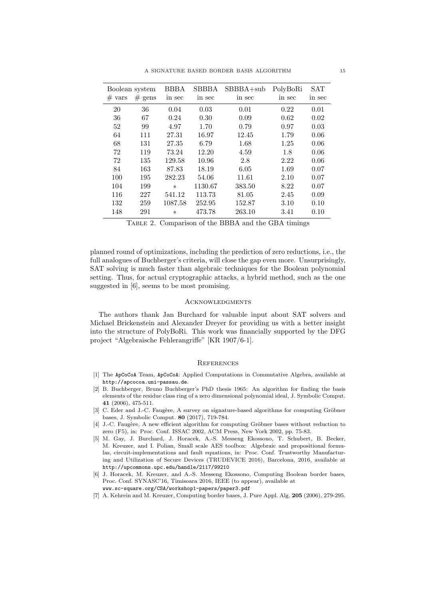|          | Boolean system | <b>BBBA</b> | <b>SBBBA</b> | $SBBBA + sub$ | PolyBoRi | <b>SAT</b> |
|----------|----------------|-------------|--------------|---------------|----------|------------|
| $#$ vars | $#$ gens       | in sec      | in sec       | in sec        | in sec   | in sec     |
| 20       | 36             | 0.04        | 0.03         | 0.01          | 0.22     | 0.01       |
| 36       | 67             | 0.24        | 0.30         | 0.09          | 0.62     | 0.02       |
| 52       | 99             | 4.97        | 1.70         | 0.79          | 0.97     | 0.03       |
| 64       | 111            | 27.31       | 16.97        | 12.45         | 1.79     | 0.06       |
| 68       | 131            | 27.35       | 6.79         | 1.68          | 1.25     | 0.06       |
| 72       | 119            | 73.24       | 12.20        | 4.59          | 1.8      | 0.06       |
| 72       | 135            | 129.58      | 10.96        | 2.8           | 2.22     | 0.06       |
| 84       | 163            | 87.83       | 18.19        | 6.05          | 1.69     | 0.07       |
| 100      | 195            | 282.23      | 54.06        | 11.61         | 2.10     | 0.07       |
| 104      | 199            | $\ast$      | 1130.67      | 383.50        | 8.22     | 0.07       |
| 116      | 227            | 541.12      | 113.73       | 81.05         | 2.45     | 0.09       |
| 132      | 259            | 1087.58     | 252.95       | 152.87        | 3.10     | 0.10       |
| 148      | 291            | $^\ast$     | 473.78       | 263.10        | 3.41     | 0.10       |

| TABLE 2. Comparison of the BBBA and the GBA timings |  |  |
|-----------------------------------------------------|--|--|
|                                                     |  |  |

planned round of optimizations, including the prediction of zero reductions, i.e., the full analogues of Buchberger's criteria, will close the gap even more. Unsurprisingly, SAT solving is much faster than algebraic techniques for the Boolean polynomial setting. Thus, for actual cryptographic attacks, a hybrid method, such as the one suggested in [6], seems to be most promising.

### **ACKNOWLEDGMENTS**

The authors thank Jan Burchard for valuable input about SAT solvers and Michael Brickenstein and Alexander Dreyer for providing us with a better insight into the structure of PolyBoRi. This work was financially supported by the DFG project "Algebraische Fehlerangriffe" [KR 1907/6-1].

## **REFERENCES**

- [1] The ApCoCoA Team, ApCoCoA: Applied Computations in Commutative Algebra, available at http://apcocoa.uni-passau.de.
- [2] B. Buchberger, Bruno Buchberger's PhD thesis 1965: An algorithm for finding the basis elements of the residue class ring of a zero dimensional polynomial ideal, J. Symbolic Comput. **41** (2006), 475-511.
- [3] C. Eder and J.-C. Faugère, A survey on signature-based algorithms for computing Gröbner bases, J. Symbolic Comput. **80** (2017), 719-784.
- [4] J.-C. Faugère, A new efficient algorithm for computing Gröbner bases without reduction to zero (F5), in: Proc. Conf. ISSAC 2002, ACM Press, New York 2002, pp. 75-83.
- [5] M. Gay, J. Burchard, J. Horacek, A.-S. Messeng Ekossono, T. Schubert, B. Becker, M. Kreuzer, and I. Polian, Small scale AES toolbox: Algebraic and propositional formulas, circuit-implementations and fault equations, in: Proc. Conf. Trustworthy Manufacturing and Utilization of Secure Devices (TRUDEVICE 2016), Barcelona, 2016, available at http://upcommons.upc.edu/handle/2117/99210
- [6] J. Horacek, M. Kreuzer, and A.-S. Messeng Ekossono, Computing Boolean border bases, Proc. Conf. SYNASC'16, Timisoara 2016, IEEE (to appear), available at www.sc-square.org/CSA/workshop1-papers/paper3.pdf
- [7] A. Kehrein and M. Kreuzer, Computing border bases, J. Pure Appl. Alg. **205** (2006), 279-295.